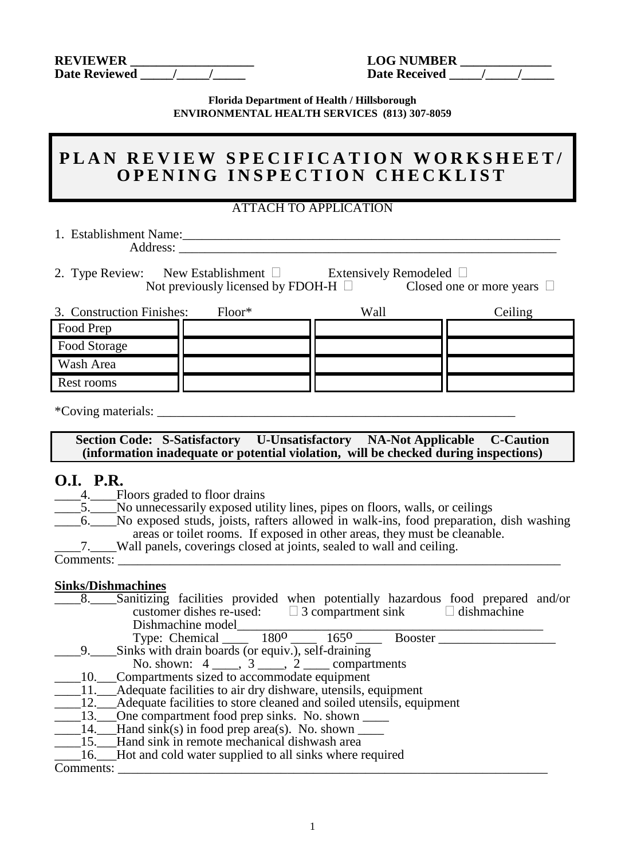| <b>REVIEWER</b>      | <b>LOG NUMBER</b>    |
|----------------------|----------------------|
| <b>Date Reviewed</b> | <b>Date Received</b> |

| <b>LOG NUMBER</b>    |  |
|----------------------|--|
| <b>Date Received</b> |  |

**Florida Department of Health / Hillsborough ENVIRONMENTAL HEALTH SERVICES (813) 307-8059**

# PLAN REVIEW SPECIFICATION WORKSHEET/ **OPENING INSPECTION CHECKLIST**

### ATTACH TO APPLICATION

1. Establishment Name:\_\_\_\_\_\_\_\_\_\_\_\_\_\_\_\_\_\_\_\_\_\_\_\_\_\_\_\_\_\_\_\_\_\_\_\_\_\_\_\_\_\_\_\_\_\_\_\_\_\_\_\_\_\_\_\_\_\_ Address:

2. Type Review: New Establishment  $\square$  Extensively Remodeled  $\square$ Not previously licensed by FDOH-H  $\Box$  Closed one or more years  $\Box$ 

| 3. Construction Finishes: | $Floor*$ | Wall | Ceiling |
|---------------------------|----------|------|---------|
| Food Prep                 |          |      |         |
| Food Storage              |          |      |         |
| Wash Area                 |          |      |         |
| Rest rooms                |          |      |         |

\*Coving materials: \_\_\_\_\_\_\_\_\_\_\_\_\_\_\_\_\_\_\_\_\_\_\_\_\_\_\_\_\_\_\_\_\_\_\_\_\_\_\_\_\_\_\_\_\_\_\_\_\_\_\_\_\_\_\_

**Section Code: S-Satisfactory U-Unsatisfactory NA-Not Applicable C-Caution (information inadequate or potential violation, will be checked during inspections)** 

# **O.I. P.R.**

- 4. Floors graded to floor drains
	- \_\_\_\_5.\_\_\_\_No unnecessarily exposed utility lines, pipes on floors, walls, or ceilings
	- \_\_\_\_6.\_\_\_\_No exposed studs, joists, rafters allowed in walk-ins, food preparation, dish washing areas or toilet rooms. If exposed in other areas, they must be cleanable.
		- \_\_\_\_7.\_\_\_\_Wall panels, coverings closed at joints, sealed to wall and ceiling.

Comments:

#### **Sinks/Dishmachines**

| 8.        | Sanitizing facilities provided when potentially hazardous food prepared and/or                               |  |  |
|-----------|--------------------------------------------------------------------------------------------------------------|--|--|
|           | customer dishes re-used: $\Box$ 3 compartment sink $\Box$ dishmachine                                        |  |  |
|           | Dishmachine model                                                                                            |  |  |
|           | Type: Chemical _____ $180^{\circ}$ ____ $165^{\circ}$ ____ Booster ___                                       |  |  |
| 9.        | Sinks with drain boards (or equiv.), self-draining                                                           |  |  |
|           | No. shown: $4 \underline{\hspace{1cm}}, 3 \underline{\hspace{1cm}}, 2 \underline{\hspace{1cm}}$ compartments |  |  |
|           | 10. Compartments sized to accommodate equipment                                                              |  |  |
|           | ____11.___Adequate facilities to air dry dishware, utensils, equipment                                       |  |  |
|           | 12. Adequate facilities to store cleaned and soiled utensils, equipment                                      |  |  |
|           | ________13._____One compartment food prep sinks. No. shown _________                                         |  |  |
|           | $\_\_\_\$ 14. Hand sink(s) in food prep area(s). No. shown                                                   |  |  |
|           | 15. Hand sink in remote mechanical dishwash area                                                             |  |  |
|           | 16. Hot and cold water supplied to all sinks where required                                                  |  |  |
| Comments: |                                                                                                              |  |  |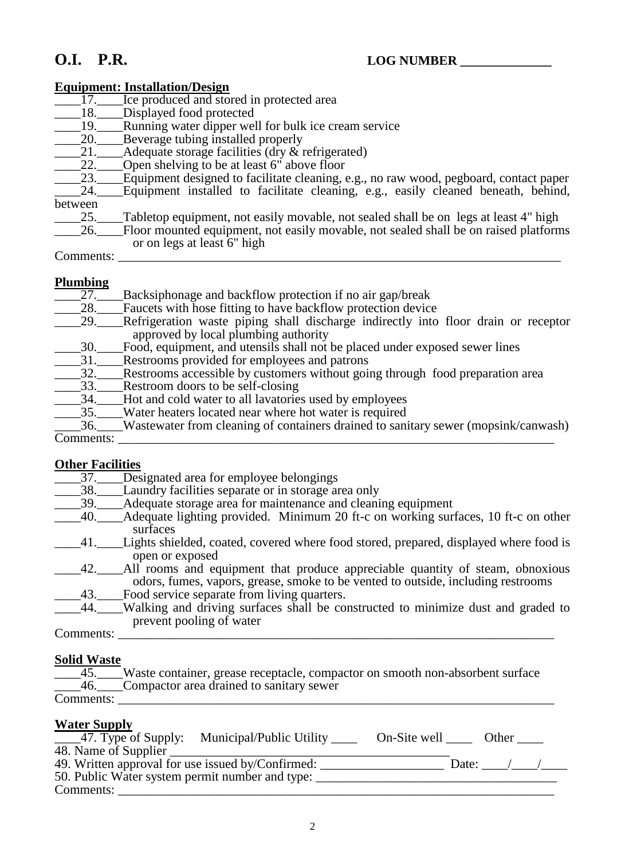#### **Equipment: Installation/Design**

| 17.       | Ice produced and stored in protected area                                             |
|-----------|---------------------------------------------------------------------------------------|
| 18.       | Displayed food protected                                                              |
| 19.       | Running water dipper well for bulk ice cream service                                  |
| 20.       | Beverage tubing installed properly                                                    |
| 21.       | Adequate storage facilities ( $\frac{dy}{dx}$ refrigerated)                           |
| 22.       | Open shelving to be at least 6" above floor                                           |
| 23.       | Equipment designed to facilitate cleaning, e.g., no raw wood, pegboard, contact paper |
| 24.       | Equipment installed to facilitate cleaning, e.g., easily cleaned beneath, behind,     |
| between   |                                                                                       |
| 25.       | Tabletop equipment, not easily movable, not sealed shall be on legs at least 4" high  |
| 26.       | Floor mounted equipment, not easily movable, not sealed shall be on raised platforms  |
|           | or on legs at least 6" high                                                           |
| Comments: |                                                                                       |
|           |                                                                                       |

### **Plumbing**

| 27.        | Backsiphonage and backflow protection if no air gap/break                               |
|------------|-----------------------------------------------------------------------------------------|
| <b>28.</b> | Faucets with hose fitting to have backflow protection device                            |
| 29.        | Refrigeration waste piping shall discharge indirectly into floor drain or receptor      |
|            | approved by local plumbing authority                                                    |
| .30.       | Food, equipment, and utensils shall not be placed under exposed sewer lines             |
| 31.        | Restrooms provided for employees and patrons                                            |
| 32.        | Restrooms accessible by customers without going through food preparation area           |
| 33.        | Restroom doors to be self-closing                                                       |
| 34.        | Hot and cold water to all lavatories used by employees                                  |
| 35.        | Water heaters located near where hot water is required                                  |
|            | _36. Wastewater from cleaning of containers drained to sanitary sewer (mopsink/canwash) |
| Comments:  |                                                                                         |

#### **Other Facilities**

\_\_\_\_37.\_\_\_\_Designated area for employee belongings

- \_\_\_\_38.\_\_\_\_Laundry facilities separate or in storage area only
- \_\_\_\_39.\_\_\_\_Adequate storage area for maintenance and cleaning equipment
- \_\_\_\_40.\_\_\_\_Adequate lighting provided. Minimum 20 ft-c on working surfaces, 10 ft-c on other surfaces
- \_\_\_\_41.\_\_\_\_Lights shielded, coated, covered where food stored, prepared, displayed where food is open or exposed
- \_\_\_\_42.\_\_\_\_All rooms and equipment that produce appreciable quantity of steam, obnoxious odors, fumes, vapors, grease, smoke to be vented to outside, including restrooms \_\_\_\_43.\_\_\_\_Food service separate from living quarters.
- \_\_\_\_44.\_\_\_\_Walking and driving surfaces shall be constructed to minimize dust and graded to prevent pooling of water

Comments:

#### **Solid Waste**

| $-45.$    | Waste container, grease receptacle, compactor on smooth non-absorbent surface |
|-----------|-------------------------------------------------------------------------------|
| $-46.$    | <b>Compactor area drained to sanitary sewer</b>                               |
| Comments: |                                                                               |
|           |                                                                               |

## **Water Supply**

| ,<br>_____47. Type of Supply: Municipal/Public Utility ______ | On-Site well |       | Other $\_\_$ |  |
|---------------------------------------------------------------|--------------|-------|--------------|--|
| 48. Name of Supplier                                          |              |       |              |  |
| 49. Written approval for use issued by/Confirmed:             |              | Date: |              |  |
| 50. Public Water system permit number and type:               |              |       |              |  |
| Comments:                                                     |              |       |              |  |